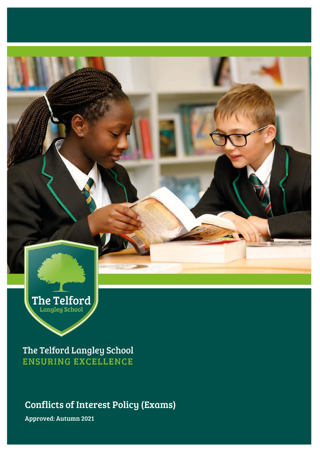

The Telford Langley School **ENSURING EXCELLENCE** 

Conflicts of Interest Policy (Exams)

Approved: Autumn 2021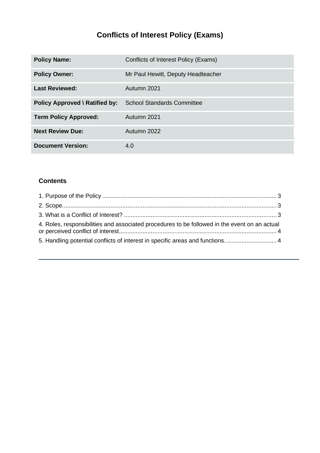# **Conflicts of Interest Policy (Exams)**

| <b>Policy Name:</b>                   | Conflicts of Interest Policy (Exams) |
|---------------------------------------|--------------------------------------|
| <b>Policy Owner:</b>                  | Mr Paul Hewitt, Deputy Headteacher   |
| <b>Last Reviewed:</b>                 | Autumn 2021                          |
| <b>Policy Approved \ Ratified by:</b> | <b>School Standards Committee</b>    |
| <b>Term Policy Approved:</b>          | Autumn 2021                          |
| <b>Next Review Due:</b>               | Autumn 2022                          |
| <b>Document Version:</b>              | 4.0                                  |

#### **Contents**

| 4. Roles, responsibilities and associated procedures to be followed in the event on an actual |  |
|-----------------------------------------------------------------------------------------------|--|
| 5. Handling potential conflicts of interest in specific areas and functions.  4               |  |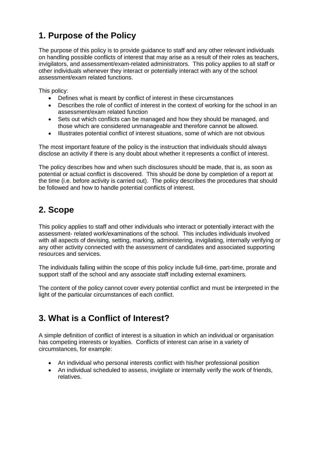## <span id="page-2-0"></span>**1. Purpose of the Policy**

The purpose of this policy is to provide guidance to staff and any other relevant individuals on handling possible conflicts of interest that may arise as a result of their roles as teachers, invigilators, and assessment/exam-related administrators. This policy applies to all staff or other individuals whenever they interact or potentially interact with any of the school assessment/exam related functions.

This policy:

- Defines what is meant by conflict of interest in these circumstances
- Describes the role of conflict of interest in the context of working for the school in an assessment/exam related function
- Sets out which conflicts can be managed and how they should be managed, and those which are considered unmanageable and therefore cannot be allowed.
- Illustrates potential conflict of interest situations, some of which are not obvious

The most important feature of the policy is the instruction that individuals should always disclose an activity if there is any doubt about whether it represents a conflict of interest.

The policy describes how and when such disclosures should be made, that is, as soon as potential or actual conflict is discovered. This should be done by completion of a report at the time (i.e. before activity is carried out). The policy describes the procedures that should be followed and how to handle potential conflicts of interest.

## <span id="page-2-1"></span>**2. Scope**

This policy applies to staff and other individuals who interact or potentially interact with the assessment- related work/examinations of the school. This includes individuals involved with all aspects of devising, setting, marking, administering, invigilating, internally verifying or any other activity connected with the assessment of candidates and associated supporting resources and services.

The individuals falling within the scope of this policy include full-time, part-time, prorate and support staff of the school and any associate staff including external examiners.

The content of the policy cannot cover every potential conflict and must be interpreted in the light of the particular circumstances of each conflict.

### <span id="page-2-2"></span>**3. What is a Conflict of Interest?**

A simple definition of conflict of interest is a situation in which an individual or organisation has competing interests or loyalties. Conflicts of interest can arise in a variety of circumstances, for example:

- An individual who personal interests conflict with his/her professional position
- An individual scheduled to assess, invigilate or internally verify the work of friends, relatives.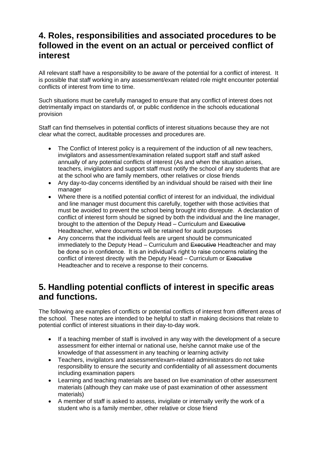#### <span id="page-3-0"></span>**4. Roles, responsibilities and associated procedures to be followed in the event on an actual or perceived conflict of interest**

All relevant staff have a responsibility to be aware of the potential for a conflict of interest. It is possible that staff working in any assessment/exam related role might encounter potential conflicts of interest from time to time.

Such situations must be carefully managed to ensure that any conflict of interest does not detrimentally impact on standards of, or public confidence in the schools educational provision

Staff can find themselves in potential conflicts of interest situations because they are not clear what the correct, auditable processes and procedures are.

- The Conflict of Interest policy is a requirement of the induction of all new teachers, invigilators and assessment/examination related support staff and staff asked annually of any potential conflicts of interest (As and when the situation arises, teachers, invigilators and support staff must notify the school of any students that are at the school who are family members, other relatives or close friends
- Any day-to-day concerns identified by an individual should be raised with their line manager
- Where there is a notified potential conflict of interest for an individual, the individual and line manager must document this carefully, together with those activities that must be avoided to prevent the school being brought into disrepute. A declaration of conflict of interest form should be signed by both the individual and the line manager, brought to the attention of the Deputy Head – Curriculum and Executive Headteacher, where documents will be retained for audit purposes
- Any concerns that the individual feels are urgent should be communicated immediately to the Deputy Head – Curriculum and Executive Headteacher and may be done so in confidence. It is an individual's right to raise concerns relating the conflict of interest directly with the Deputy Head – Curriculum or Executive Headteacher and to receive a response to their concerns.

#### <span id="page-3-1"></span>**5. Handling potential conflicts of interest in specific areas and functions.**

The following are examples of conflicts or potential conflicts of interest from different areas of the school. These notes are intended to be helpful to staff in making decisions that relate to potential conflict of interest situations in their day-to-day work.

- If a teaching member of staff is involved in any way with the development of a secure assessment for either internal or national use, he/she cannot make use of the knowledge of that assessment in any teaching or learning activity
- Teachers, invigilators and assessment/exam-related administrators do not take responsibility to ensure the security and confidentiality of all assessment documents including examination papers
- Learning and teaching materials are based on live examination of other assessment materials (although they can make use of past examination of other assessment materials)
- A member of staff is asked to assess, invigilate or internally verify the work of a student who is a family member, other relative or close friend